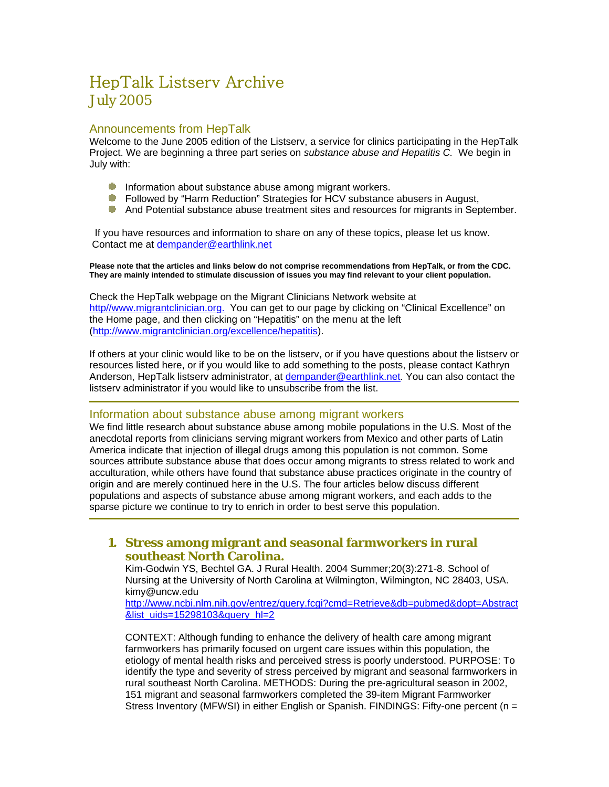# HepTalk Listserv Archive July 2005

## Announcements from HepTalk

Welcome to the June 2005 edition of the Listserv, a service for clinics participating in the HepTalk Project. We are beginning a three part series on *substance abuse and Hepatitis C.* We begin in July with:

- **Information about substance abuse among migrant workers.**
- **Followed by "Harm Reduction" Strategies for HCV substance abusers in August,**
- And Potential substance abuse treatment sites and resources for migrants in September.

 If you have resources and information to share on any of these topics, please let us know. Contact me at dempander@earthlink.net

**Please note that the articles and links below do not comprise recommendations from HepTalk, or from the CDC. They are mainly intended to stimulate discussion of issues you may find relevant to your client population.** 

Check the HepTalk webpage on the Migrant Clinicians Network website at http//www.migrantclinician.org. You can get to our page by clicking on "Clinical Excellence" on the Home page, and then clicking on "Hepatitis" on the menu at the left (http://www.migrantclinician.org/excellence/hepatitis).

If others at your clinic would like to be on the listserv, or if you have questions about the listserv or resources listed here, or if you would like to add something to the posts, please contact Kathryn Anderson, HepTalk listserv administrator, at dempander@earthlink.net. You can also contact the listserv administrator if you would like to unsubscribe from the list.

## Information about substance abuse among migrant workers

We find little research about substance abuse among mobile populations in the U.S. Most of the anecdotal reports from clinicians serving migrant workers from Mexico and other parts of Latin America indicate that injection of illegal drugs among this population is not common. Some sources attribute substance abuse that does occur among migrants to stress related to work and acculturation, while others have found that substance abuse practices originate in the country of origin and are merely continued here in the U.S. The four articles below discuss different populations and aspects of substance abuse among migrant workers, and each adds to the sparse picture we continue to try to enrich in order to best serve this population.

## **1. Stress among migrant and seasonal farmworkers in rural southeast North Carolina.**

Kim-Godwin YS, Bechtel GA. J Rural Health. 2004 Summer;20(3):271-8. School of Nursing at the University of North Carolina at Wilmington, Wilmington, NC 28403, USA. kimy@uncw.edu

http://www.ncbi.nlm.nih.gov/entrez/query.fcgi?cmd=Retrieve&db=pubmed&dopt=Abstract &list\_uids=15298103&query\_hl=2

CONTEXT: Although funding to enhance the delivery of health care among migrant farmworkers has primarily focused on urgent care issues within this population, the etiology of mental health risks and perceived stress is poorly understood. PURPOSE: To identify the type and severity of stress perceived by migrant and seasonal farmworkers in rural southeast North Carolina. METHODS: During the pre-agricultural season in 2002, 151 migrant and seasonal farmworkers completed the 39-item Migrant Farmworker Stress Inventory (MFWSI) in either English or Spanish. FINDINGS: Fifty-one percent (n =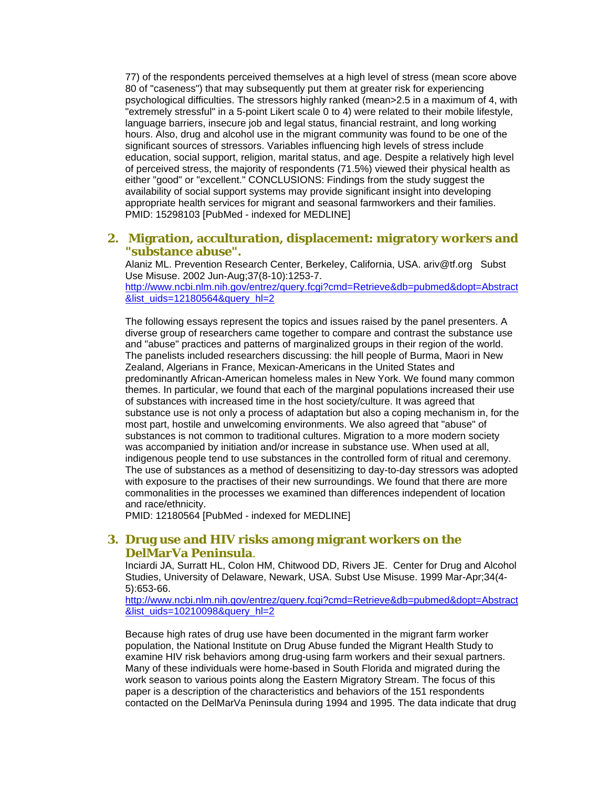77) of the respondents perceived themselves at a high level of stress (mean score above 80 of "caseness") that may subsequently put them at greater risk for experiencing psychological difficulties. The stressors highly ranked (mean>2.5 in a maximum of 4, with "extremely stressful" in a 5-point Likert scale 0 to 4) were related to their mobile lifestyle, language barriers, insecure job and legal status, financial restraint, and long working hours. Also, drug and alcohol use in the migrant community was found to be one of the significant sources of stressors. Variables influencing high levels of stress include education, social support, religion, marital status, and age. Despite a relatively high level of perceived stress, the majority of respondents (71.5%) viewed their physical health as either "good" or "excellent." CONCLUSIONS: Findings from the study suggest the availability of social support systems may provide significant insight into developing appropriate health services for migrant and seasonal farmworkers and their families. PMID: 15298103 [PubMed - indexed for MEDLINE]

# **2. Migration, acculturation, displacement: migratory workers and "substance abuse".**

Alaniz ML. Prevention Research Center, Berkeley, California, USA. ariv@tf.org Subst Use Misuse. 2002 Jun-Aug;37(8-10):1253-7.

http://www.ncbi.nlm.nih.gov/entrez/query.fcgi?cmd=Retrieve&db=pubmed&dopt=Abstract &list\_uids=12180564&query\_hl=2

The following essays represent the topics and issues raised by the panel presenters. A diverse group of researchers came together to compare and contrast the substance use and "abuse" practices and patterns of marginalized groups in their region of the world. The panelists included researchers discussing: the hill people of Burma, Maori in New Zealand, Algerians in France, Mexican-Americans in the United States and predominantly African-American homeless males in New York. We found many common themes. In particular, we found that each of the marginal populations increased their use of substances with increased time in the host society/culture. It was agreed that substance use is not only a process of adaptation but also a coping mechanism in, for the most part, hostile and unwelcoming environments. We also agreed that "abuse" of substances is not common to traditional cultures. Migration to a more modern society was accompanied by initiation and/or increase in substance use. When used at all, indigenous people tend to use substances in the controlled form of ritual and ceremony. The use of substances as a method of desensitizing to day-to-day stressors was adopted with exposure to the practises of their new surroundings. We found that there are more commonalities in the processes we examined than differences independent of location and race/ethnicity.

PMID: 12180564 [PubMed - indexed for MEDLINE]

## **3. Drug use and HIV risks among migrant workers on the DelMarVa Peninsula**.

Inciardi JA, Surratt HL, Colon HM, Chitwood DD, Rivers JE. Center for Drug and Alcohol Studies, University of Delaware, Newark, USA. Subst Use Misuse. 1999 Mar-Apr;34(4- 5):653-66.

http://www.ncbi.nlm.nih.gov/entrez/query.fcgi?cmd=Retrieve&db=pubmed&dopt=Abstract &list\_uids=10210098&query\_hl=2

Because high rates of drug use have been documented in the migrant farm worker population, the National Institute on Drug Abuse funded the Migrant Health Study to examine HIV risk behaviors among drug-using farm workers and their sexual partners. Many of these individuals were home-based in South Florida and migrated during the work season to various points along the Eastern Migratory Stream. The focus of this paper is a description of the characteristics and behaviors of the 151 respondents contacted on the DelMarVa Peninsula during 1994 and 1995. The data indicate that drug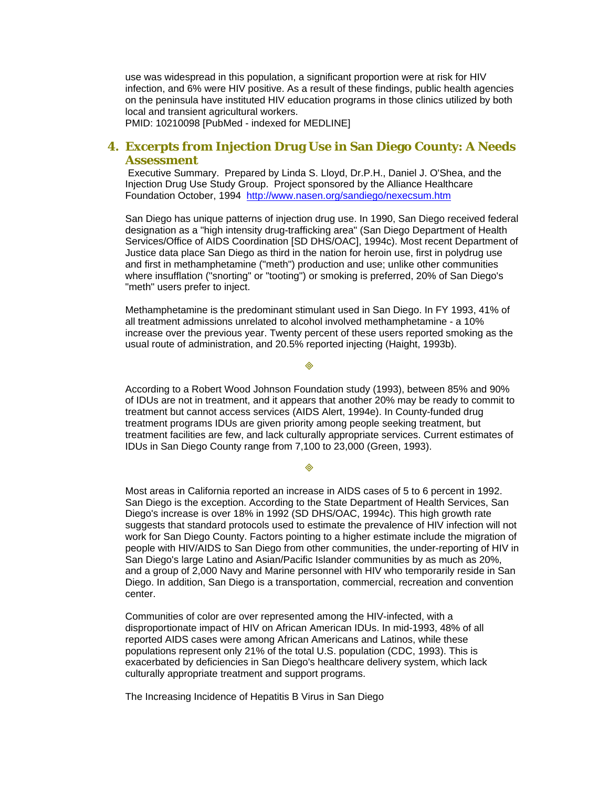use was widespread in this population, a significant proportion were at risk for HIV infection, and 6% were HIV positive. As a result of these findings, public health agencies on the peninsula have instituted HIV education programs in those clinics utilized by both local and transient agricultural workers.

PMID: 10210098 [PubMed - indexed for MEDLINE]

# **4. Excerpts from Injection Drug Use in San Diego County: A Needs Assessment**

 Executive Summary. Prepared by Linda S. Lloyd, Dr.P.H., Daniel J. O'Shea, and the Injection Drug Use Study Group. Project sponsored by the Alliance Healthcare Foundation October, 1994 http://www.nasen.org/sandiego/nexecsum.htm

San Diego has unique patterns of injection drug use. In 1990, San Diego received federal designation as a "high intensity drug-trafficking area" (San Diego Department of Health Services/Office of AIDS Coordination [SD DHS/OAC], 1994c). Most recent Department of Justice data place San Diego as third in the nation for heroin use, first in polydrug use and first in methamphetamine ("meth") production and use; unlike other communities where insufflation ("snorting" or "tooting") or smoking is preferred, 20% of San Diego's "meth" users prefer to inject.

Methamphetamine is the predominant stimulant used in San Diego. In FY 1993, 41% of all treatment admissions unrelated to alcohol involved methamphetamine - a 10% increase over the previous year. Twenty percent of these users reported smoking as the usual route of administration, and 20.5% reported injecting (Haight, 1993b).

According to a Robert Wood Johnson Foundation study (1993), between 85% and 90% of IDUs are not in treatment, and it appears that another 20% may be ready to commit to treatment but cannot access services (AIDS Alert, 1994e). In County-funded drug treatment programs IDUs are given priority among people seeking treatment, but treatment facilities are few, and lack culturally appropriate services. Current estimates of IDUs in San Diego County range from 7,100 to 23,000 (Green, 1993).

#### 

Most areas in California reported an increase in AIDS cases of 5 to 6 percent in 1992. San Diego is the exception. According to the State Department of Health Services, San Diego's increase is over 18% in 1992 (SD DHS/OAC, 1994c). This high growth rate suggests that standard protocols used to estimate the prevalence of HIV infection will not work for San Diego County. Factors pointing to a higher estimate include the migration of people with HIV/AIDS to San Diego from other communities, the under-reporting of HIV in San Diego's large Latino and Asian/Pacific Islander communities by as much as 20%, and a group of 2,000 Navy and Marine personnel with HIV who temporarily reside in San Diego. In addition, San Diego is a transportation, commercial, recreation and convention center.

Communities of color are over represented among the HIV-infected, with a disproportionate impact of HIV on African American IDUs. In mid-1993, 48% of all reported AIDS cases were among African Americans and Latinos, while these populations represent only 21% of the total U.S. population (CDC, 1993). This is exacerbated by deficiencies in San Diego's healthcare delivery system, which lack culturally appropriate treatment and support programs.

The Increasing Incidence of Hepatitis B Virus in San Diego